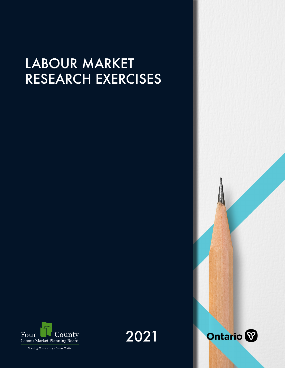# LABOUR MARKET RESEARCH EXERCISES



Serving Bruce Grey Huron Perth



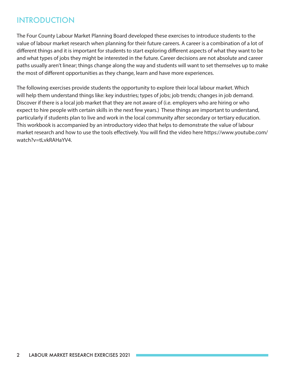## INTRODUCTION

The Four County Labour Market Planning Board developed these exercises to introduce students to the value of labour market research when planning for their future careers. A career is a combination of a lot of different things and it is important for students to start exploring different aspects of what they want to be and what types of jobs they might be interested in the future. Career decisions are not absolute and career paths usually aren't linear; things change along the way and students will want to set themselves up to make the most of different opportunities as they change, learn and have more experiences.

The following exercises provide students the opportunity to explore their local labour market. Which will help them understand things like: key industries; types of jobs; job trends; changes in job demand. Discover if there is a local job market that they are not aware of (i.e. employers who are hiring or who expect to hire people with certain skills in the next few years.) These things are important to understand, particularly if students plan to live and work in the local community after secondary or tertiary education. This workbook is accompanied by an introductory video that helps to demonstrate the value of labour [market research and how to use the tools effectively. You will find the video here https://www.youtube.com/](https://www.youtube.com/watch?v=tLvkRAHaYV4) watch?v=tLvkRAHaYV4.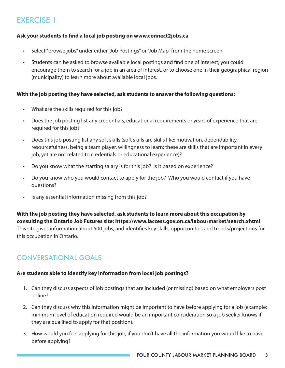### **Ask your students to find a local job posting on www.connect2jobs.ca**

- Select "browse jobs" under either "Job Postings" or "Job Map" from the home screen
- Students can be asked to browse available local postings and find one of interest; you could encourage them to search for a job in an area of interest, or to choose one in their geographical region (municipality) to learn more about available local jobs.

### **With the job posting they have selected, ask students to answer the following questions:**

- What are the skills required for this job?
- Does the job posting list any credentials, educational requirements or years of experience that are required for this job?
- Does this job posting list any soft skills (soft skills are skills like: motivation, dependability, resourcefulness, being a team player, willingness to learn; these are skills that are important in every job, yet are not related to credentials or educational experience)?
- Do you know what the starting salary is for this job? Is it based on experience?
- Do you know who you would contact to apply for the job? Who you would contact if you have questions?
- Is any essential information missing from this job?

### **With the job posting they have selected, ask students to learn more about this occupation by consulting the Ontario Job Futures site: https://www.iaccess.gov.on.ca/labourmarket/search.xhtml** This site gives information about 500 jobs, and identifies key skills, opportunities and trends/projections for this occupation in Ontario.

### CONVERSATIONAL GOALS

### **Are students able to identify key information from local job postings?**

- 1. Can they discuss aspects of job postings that are included (or missing) based on what employers post online?
- 2. Can they discuss why this information might be important to have before applying for a job (example: minimum level of education required would be an important consideration so a job seeker knows if they are qualified to apply for that position).
- 3. How would you feel applying for this job, if you don't have all the information you would like to have before applying?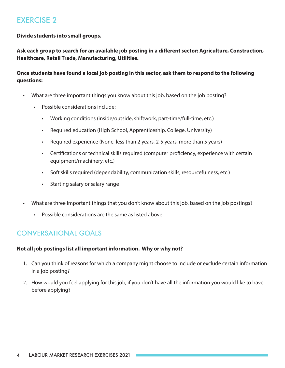**Divide students into small groups.**

**Ask each group to search for an available job posting in a different sector: Agriculture, Construction, Healthcare, Retail Trade, Manufacturing, Utilities.** 

### **Once students have found a local job posting in this sector, ask them to respond to the following questions:**

- What are three important things you know about this job, based on the job posting?
	- Possible considerations include:
		- Working conditions (inside/outside, shiftwork, part-time/full-time, etc.)
		- Required education (High School, Apprenticeship, College, University)
		- Required experience (None, less than 2 years, 2-5 years, more than 5 years)
		- Certifications or technical skills required (computer proficiency, experience with certain equipment/machinery, etc.)
		- Soft skills required (dependability, communication skills, resourcefulness, etc.)
		- Starting salary or salary range
- What are three important things that you don't know about this job, based on the job postings?
	- Possible considerations are the same as listed above.

### CONVERSATIONAL GOALS

#### **Not all job postings list all important information. Why or why not?**

- 1. Can you think of reasons for which a company might choose to include or exclude certain information in a job posting?
- 2. How would you feel applying for this job, if you don't have all the information you would like to have before applying?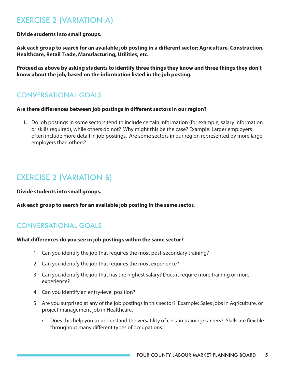# EXERCISE 2 (VARIATION A)

**Divide students into small groups.**

**Ask each group to search for an available job posting in a different sector: Agriculture, Construction, Healthcare, Retail Trade, Manufacturing, Utilities, etc.** 

**Proceed as above by asking students to identify three things they know and three things they don't know about the job, based on the information listed in the job posting.**

### CONVERSATIONAL GOALS

#### **Are there differences between job postings in different sectors in our region?**

1. Do job postings in some sectors tend to include certain information (for example, salary information or skills required), while others do not? Why might this be the case? Example: Larger employers often include more detail in job postings. Are some sectors in our region represented by more large employers than others?

# EXERCISE 2 (VARIATION B)

**Divide students into small groups.**

**Ask each group to search for an available job posting in the same sector.**

### CONVERSATIONAL GOALS

#### **What differences do you see in job postings within the same sector?**

- 1. Can you identify the job that requires the most post-secondary training?
- 2. Can you identify the job that requires the most experience?
- 3. Can you identify the job that has the highest salary? Does it require more training or more experience?
- 4. Can you identify an entry-level position?
- 5. Are you surprised at any of the job postings in this sector? Example: Sales jobs in Agriculture, or project management job in Healthcare.
	- Does this help you to understand the versatility of certain training/careers? Skills are flexible throughout many different types of occupations.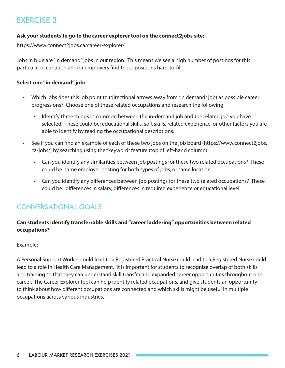#### **Ask your students to go to the career explorer tool on the connect2jobs site:**

<https://www.connect2jobs.ca/career-explorer/>

Jobs in blue are "in demand" jobs in our region. This means we see a high number of postings for this particular occupation and/or employers find these positions hard-to-fill.

#### **Select one "in demand" job:**

- Which jobs does this job point to (directional arrows away from "in demand" job) as possible career progressions? Choose one of these related occupations and research the following:
	- Identify three things in common between the in-demand job and the related job you have selected. These could be: educational skills, soft skills, related experience, or other factors you are able to identify by reading the occupational descriptions.
- See if you can find an example of each of these two jobs on the job board (https://www.connect2jobs. ca/jobs/) by searching using the "keyword" feature (top of left-hand column).
	- Can you identify any similarities between job postings for these two related occupations? These could be: same employer posting for both types of jobs, or same location.
	- Can you identify any differences between job postings for these two related occupations? These could be: differences in salary, differences in required experience or educational level.

### CONVERSATIONAL GOALS

### **Can students identify transferrable skills and "career laddering" opportunities between related occupations?**

#### Example:

A Personal Support Worker could lead to a Registered Practical Nurse could lead to a Registered Nurse could lead to a role in Health Care Management. It is important for students to recognize overlap of both skills and training so that they can understand skill transfer and expanded career opportunities throughout one career. The Career Explorer tool can help identify related occupations, and give students an opportunity to think about how different occupations are connected and which skills might be useful in multiple occupations across various industries.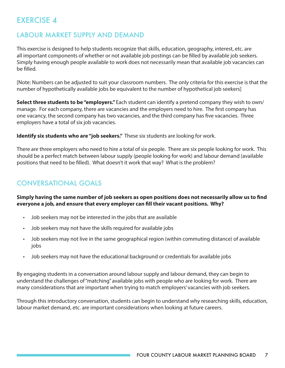### LABOUR MARKET SUPPLY AND DEMAND

This exercise is designed to help students recognize that skills, education, geography, interest, etc. are all important components of whether or not available job postings can be filled by available job seekers. Simply having enough people available to work does not necessarily mean that available job vacancies can be filled.

[Note: Numbers can be adjusted to suit your classroom numbers. The only criteria for this exercise is that the number of hypothetically available jobs be equivalent to the number of hypothetical job seekers]

**Select three students to be "employers."** Each student can identify a pretend company they wish to own/ manage. For each company, there are vacancies and the employers need to hire. The first company has one vacancy, the second company has two vacancies, and the third company has five vacancies. Three employers have a total of six job vacancies.

**Identify six students who are "job seekers."** These six students are looking for work.

There are three employers who need to hire a total of six people. There are six people looking for work. This should be a perfect match between labour supply (people looking for work) and labour demand (available positions that need to be filled). What doesn't it work that way? What is the problem?

### CONVERSATIONAL GOALS

**Simply having the same number of job seekers as open positions does not necessarily allow us to find everyone a job, and ensure that every employer can fill their vacant positions. Why?**

- Job seekers may not be interested in the jobs that are available
- Job seekers may not have the skills required for available jobs
- Job seekers may not live in the same geographical region (within commuting distance) of available jobs
- Job seekers may not have the educational background or credentials for available jobs

By engaging students in a conversation around labour supply and labour demand, they can begin to understand the challenges of "matching" available jobs with people who are looking for work. There are many considerations that are important when trying to match employers' vacancies with job seekers.

Through this introductory conversation, students can begin to understand why researching skills, education, labour market demand, etc. are important considerations when looking at future careers.